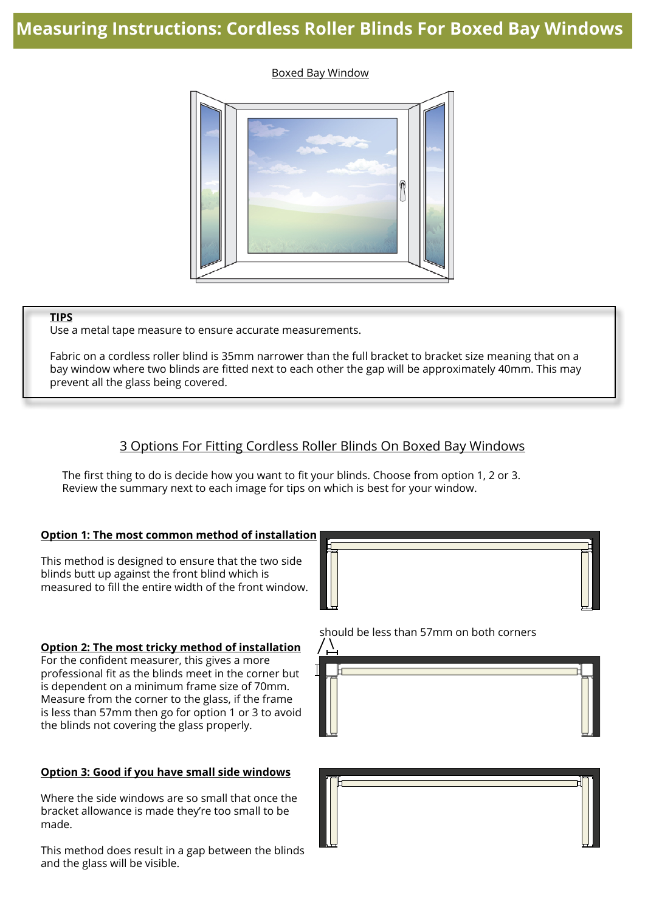# **Measuring Instructions: Cordless Roller Blinds For Boxed Bay Windows**

#### Boxed Bay Window



#### **TIPS**

Use a metal tape measure to ensure accurate measurements.

Fabric on a cordless roller blind is 35mm narrower than the full bracket to bracket size meaning that on a bay window where two blinds are fitted next to each other the gap will be approximately 40mm. This may prevent all the glass being covered.

## 3 Options For Fitting Cordless Roller Blinds On Boxed Bay Windows

The first thing to do is decide how you want to fit your blinds. Choose from option 1, 2 or 3. Review the summary next to each image for tips on which is best for your window.

#### **Option 1: The most common method of installation**

This method is designed to ensure that the two side blinds butt up against the front blind which is measured to fill the entire width of the front window.

#### **Option 2: The most tricky method of installation**

For the confident measurer, this gives a more professional fit as the blinds meet in the corner but is dependent on a minimum frame size of 70mm. Measure from the corner to the glass, if the frame is less than 57mm then go for option 1 or 3 to avoid the blinds not covering the glass properly.

#### **Option 3: Good if you have small side windows**

Where the side windows are so small that once the bracket allowance is made they're too small to be made.

This method does result in a gap between the blinds and the glass will be visible.